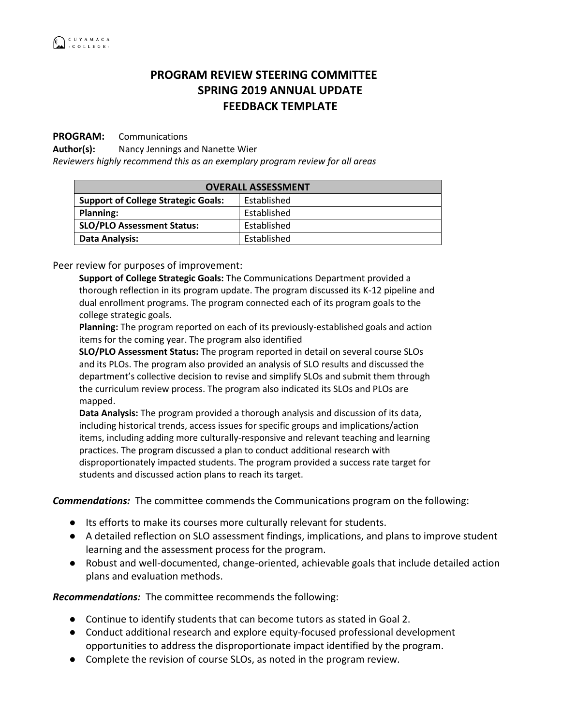## **PROGRAM REVIEW STEERING COMMITTEE SPRING 2019 ANNUAL UPDATE FEEDBACK TEMPLATE**

## **PROGRAM:** Communications

**Author(s):** Nancy Jennings and Nanette Wier

*Reviewers highly recommend this as an exemplary program review for all areas*

| <b>OVERALL ASSESSMENT</b>                  |             |
|--------------------------------------------|-------------|
| <b>Support of College Strategic Goals:</b> | Established |
| <b>Planning:</b>                           | Established |
| <b>SLO/PLO Assessment Status:</b>          | Established |
| <b>Data Analysis:</b>                      | Established |

Peer review for purposes of improvement:

**Support of College Strategic Goals:** The Communications Department provided a thorough reflection in its program update. The program discussed its K-12 pipeline and dual enrollment programs. The program connected each of its program goals to the college strategic goals.

**Planning:** The program reported on each of its previously-established goals and action items for the coming year. The program also identified

**SLO/PLO Assessment Status:** The program reported in detail on several course SLOs and its PLOs. The program also provided an analysis of SLO results and discussed the department's collective decision to revise and simplify SLOs and submit them through the curriculum review process. The program also indicated its SLOs and PLOs are mapped.

**Data Analysis:** The program provided a thorough analysis and discussion of its data, including historical trends, access issues for specific groups and implications/action items, including adding more culturally-responsive and relevant teaching and learning practices. The program discussed a plan to conduct additional research with disproportionately impacted students. The program provided a success rate target for students and discussed action plans to reach its target.

*Commendations:* The committee commends the Communications program on the following:

- Its efforts to make its courses more culturally relevant for students.
- A detailed reflection on SLO assessment findings, implications, and plans to improve student learning and the assessment process for the program.
- Robust and well-documented, change-oriented, achievable goals that include detailed action plans and evaluation methods.

*Recommendations:* The committee recommends the following:

- Continue to identify students that can become tutors as stated in Goal 2.
- Conduct additional research and explore equity-focused professional development opportunities to address the disproportionate impact identified by the program.
- Complete the revision of course SLOs, as noted in the program review.